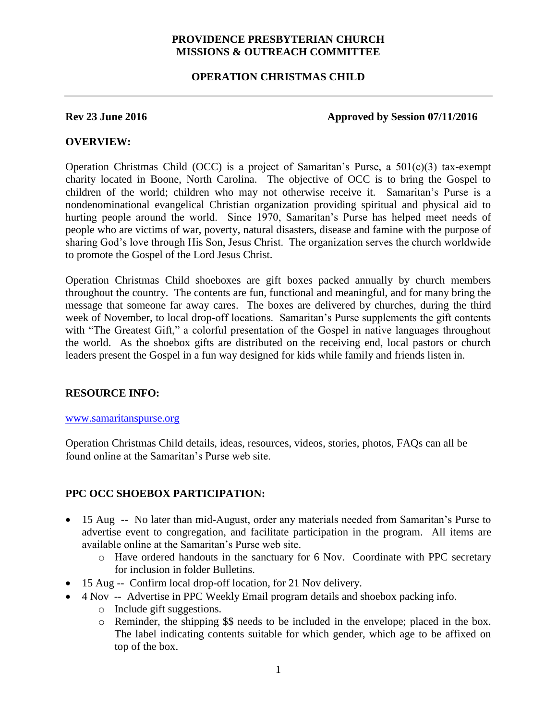## **PROVIDENCE PRESBYTERIAN CHURCH MISSIONS & OUTREACH COMMITTEE**

## **OPERATION CHRISTMAS CHILD**

### **Rev 23 June 2016 Approved by Session 07/11/2016**

## **OVERVIEW:**

Operation Christmas Child (OCC) is a project of Samaritan's Purse, a  $501(c)(3)$  tax-exempt charity located in Boone, North Carolina. The objective of OCC is to bring the Gospel to children of the world; children who may not otherwise receive it. Samaritan's Purse is a nondenominational evangelical Christian organization providing spiritual and physical aid to hurting people around the world. Since 1970, Samaritan's Purse has helped meet needs of people who are victims of war, poverty, natural disasters, disease and famine with the purpose of sharing God's love through His Son, Jesus Christ. The organization serves the church worldwide to promote the Gospel of the Lord Jesus Christ.

Operation Christmas Child shoeboxes are gift boxes packed annually by church members throughout the country. The contents are fun, functional and meaningful, and for many bring the message that someone far away cares. The boxes are delivered by churches, during the third week of November, to local drop-off locations. Samaritan's Purse supplements the gift contents with "The Greatest Gift," a colorful presentation of the Gospel in native languages throughout the world. As the shoebox gifts are distributed on the receiving end, local pastors or church leaders present the Gospel in a fun way designed for kids while family and friends listen in.

# **RESOURCE INFO:**

#### [www.samaritanspurse.org](http://www.samaritanspurse.org/)

Operation Christmas Child details, ideas, resources, videos, stories, photos, FAQs can all be found online at the Samaritan's Purse web site.

# **PPC OCC SHOEBOX PARTICIPATION:**

- 15 Aug -- No later than mid-August, order any materials needed from Samaritan's Purse to advertise event to congregation, and facilitate participation in the program. All items are available online at the Samaritan's Purse web site.
	- o Have ordered handouts in the sanctuary for 6 Nov. Coordinate with PPC secretary for inclusion in folder Bulletins.
- 15 Aug -- Confirm local drop-off location, for 21 Nov delivery.
- 4 Nov -- Advertise in PPC Weekly Email program details and shoebox packing info.
	- o Include gift suggestions.
	- o Reminder, the shipping \$\$ needs to be included in the envelope; placed in the box. The label indicating contents suitable for which gender, which age to be affixed on top of the box.